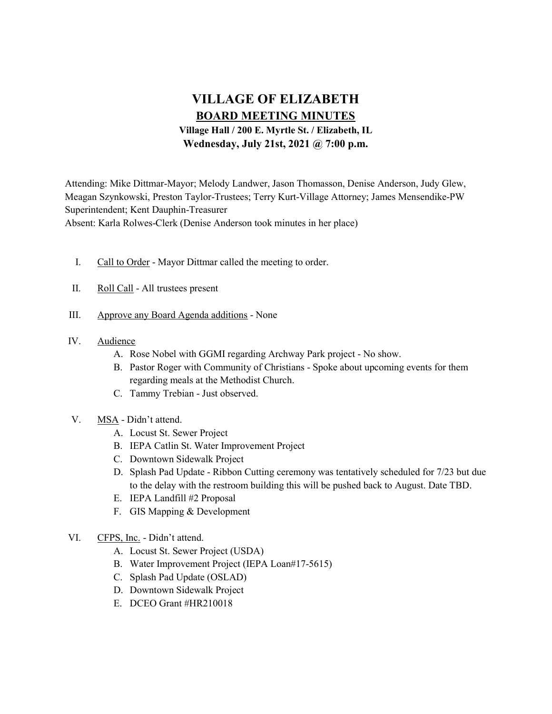# VILLAGE OF ELIZABETH BOARD MEETING MINUTES

Village Hall / 200 E. Myrtle St. / Elizabeth, IL Wednesday, July 21st, 2021 @ 7:00 p.m.

Attending: Mike Dittmar-Mayor; Melody Landwer, Jason Thomasson, Denise Anderson, Judy Glew, Meagan Szynkowski, Preston Taylor-Trustees; Terry Kurt-Village Attorney; James Mensendike-PW Superintendent; Kent Dauphin-Treasurer Absent: Karla Rolwes-Clerk (Denise Anderson took minutes in her place)

- I. Call to Order Mayor Dittmar called the meeting to order.
- II. Roll Call All trustees present
- III. Approve any Board Agenda additions None
- IV. Audience
	- A. Rose Nobel with GGMI regarding Archway Park project No show.
	- B. Pastor Roger with Community of Christians Spoke about upcoming events for them regarding meals at the Methodist Church.
	- C. Tammy Trebian Just observed.
- V. MSA Didn't attend.
	- A. Locust St. Sewer Project
	- B. IEPA Catlin St. Water Improvement Project
	- C. Downtown Sidewalk Project
	- D. Splash Pad Update Ribbon Cutting ceremony was tentatively scheduled for 7/23 but due to the delay with the restroom building this will be pushed back to August. Date TBD.
	- E. IEPA Landfill #2 Proposal
	- F. GIS Mapping & Development
- VI. CFPS, Inc. Didn't attend.
	- A. Locust St. Sewer Project (USDA)
	- B. Water Improvement Project (IEPA Loan#17-5615)
	- C. Splash Pad Update (OSLAD)
	- D. Downtown Sidewalk Project
	- E. DCEO Grant #HR210018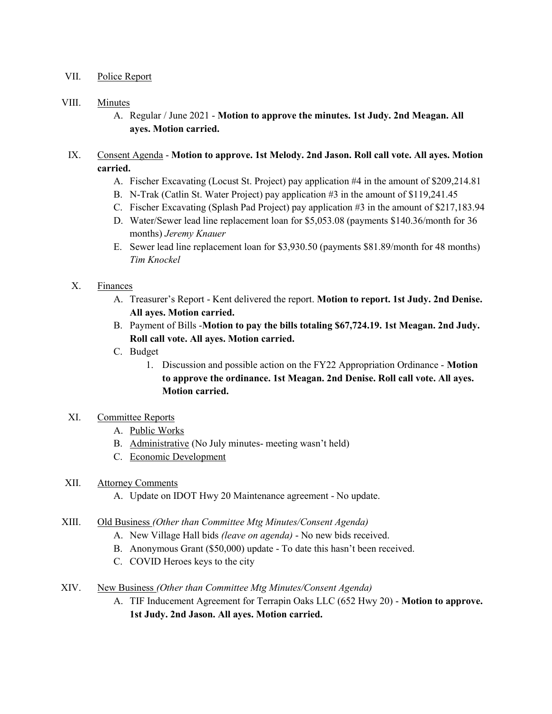## VII. Police Report

#### VIII. Minutes

A. Regular / June 2021 - Motion to approve the minutes. 1st Judy. 2nd Meagan. All ayes. Motion carried.

# IX. Consent Agenda - Motion to approve. 1st Melody. 2nd Jason. Roll call vote. All ayes. Motion carried.

- A. Fischer Excavating (Locust St. Project) pay application #4 in the amount of \$209,214.81
- B. N-Trak (Catlin St. Water Project) pay application #3 in the amount of \$119,241.45
- C. Fischer Excavating (Splash Pad Project) pay application #3 in the amount of \$217,183.94
- D. Water/Sewer lead line replacement loan for \$5,053.08 (payments \$140.36/month for 36 months) Jeremy Knauer
- E. Sewer lead line replacement loan for \$3,930.50 (payments \$81.89/month for 48 months) Tim Knockel

### X. Finances

- A. Treasurer's Report Kent delivered the report. Motion to report. 1st Judy. 2nd Denise. All ayes. Motion carried.
- B. Payment of Bills -Motion to pay the bills totaling \$67,724.19. 1st Meagan. 2nd Judy. Roll call vote. All ayes. Motion carried.
- C. Budget
	- 1. Discussion and possible action on the FY22 Appropriation Ordinance Motion to approve the ordinance. 1st Meagan. 2nd Denise. Roll call vote. All ayes. Motion carried.

### XI. Committee Reports

- A. Public Works
- B. Administrative (No July minutes- meeting wasn't held)
- C. Economic Development

#### XII. Attorney Comments

A. Update on IDOT Hwy 20 Maintenance agreement - No update.

#### XIII. Old Business (Other than Committee Mtg Minutes/Consent Agenda)

- A. New Village Hall bids (leave on agenda) No new bids received.
- B. Anonymous Grant (\$50,000) update To date this hasn't been received.
- C. COVID Heroes keys to the city
- XIV. New Business (Other than Committee Mtg Minutes/Consent Agenda)
	- A. TIF Inducement Agreement for Terrapin Oaks LLC (652 Hwy 20) Motion to approve. 1st Judy. 2nd Jason. All ayes. Motion carried.